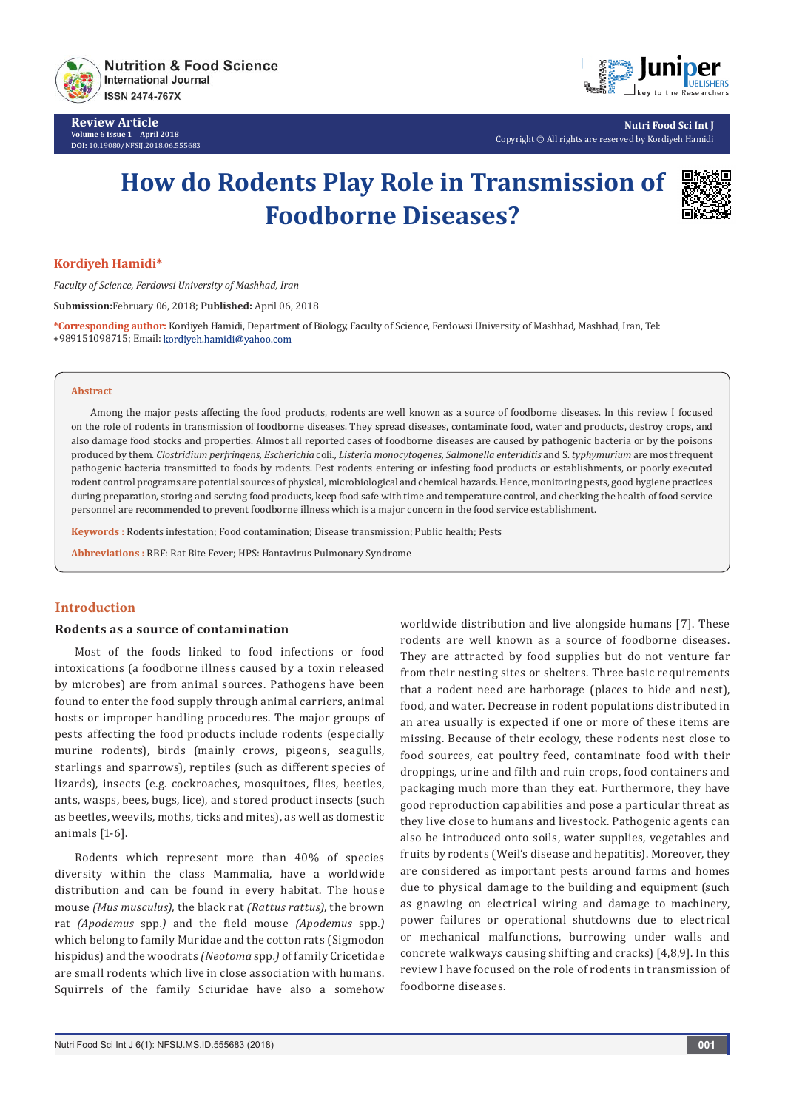

**Review Article Volume 6 Issue 1** - **April 2018 DOI:** [10.19080/NFSIJ.2018.06.555683](http://dx.doi.org/10.19080/NFSIJ.2018.06.555683)



**Nutri Food Sci Int J** Copyright © All rights are reserved by Kordiyeh Hamidi

# **How do Rodents Play Role in Transmission of Foodborne Diseases?**



## **Kordiyeh Hamidi\***

*Faculty of Science, Ferdowsi University of Mashhad, Iran*

**Submission:**February 06, 2018; **Published:** April 06, 2018

**\*Corresponding author:** Kordiyeh Hamidi, Department of Biology, Faculty of Science, Ferdowsi University of Mashhad, Mashhad, Iran, Tel: +989151098715; Email:

#### **Abstract**

Among the major pests affecting the food products, rodents are well known as a source of foodborne diseases. In this review I focused on the role of rodents in transmission of foodborne diseases. They spread diseases, contaminate food, water and products, destroy crops, and also damage food stocks and properties. Almost all reported cases of foodborne diseases are caused by pathogenic bacteria or by the poisons produced by them. *Clostridium perfringens, Escherichia* coli*., Listeria monocytogenes, Salmonella enteriditis* and S. *typhymurium* are most frequent pathogenic bacteria transmitted to foods by rodents. Pest rodents entering or infesting food products or establishments, or poorly executed rodent control programs are potential sources of physical, microbiological and chemical hazards. Hence, monitoring pests, good hygiene practices during preparation, storing and serving food products, keep food safe with time and temperature control, and checking the health of food service personnel are recommended to prevent foodborne illness which is a major concern in the food service establishment.

**Keywords :** Rodents infestation; Food contamination; Disease transmission; Public health; Pests

**Abbreviations :** RBF: Rat Bite Fever; HPS: Hantavirus Pulmonary Syndrome

## **Introduction**

### **Rodents as a source of contamination**

Most of the foods linked to food infections or food intoxications (a foodborne illness caused by a toxin released by microbes) are from animal sources. Pathogens have been found to enter the food supply through animal carriers, animal hosts or improper handling procedures. The major groups of pests affecting the food products include rodents (especially murine rodents), birds (mainly crows, pigeons, seagulls, starlings and sparrows), reptiles (such as different species of lizards), insects (e.g. cockroaches, mosquitoes, flies, beetles, ants, wasps, bees, bugs, lice), and stored product insects (such as beetles, weevils, moths, ticks and mites), as well as domestic animals [1-6].

Rodents which represent more than 40% of species diversity within the class Mammalia, have a worldwide distribution and can be found in every habitat. The house mouse *(Mus musculus),* the black rat *(Rattus rattus),* the brown rat *(Apodemus* spp*.)* and the field mouse *(Apodemus* spp*.)*  which belong to family Muridae and the cotton rats (Sigmodon hispidus) and the woodrats *(Neotoma* spp*.)* of family Cricetidae are small rodents which live in close association with humans. Squirrels of the family Sciuridae have also a somehow

worldwide distribution and live alongside humans [7]. These rodents are well known as a source of foodborne diseases. They are attracted by food supplies but do not venture far from their nesting sites or shelters. Three basic requirements that a rodent need are harborage (places to hide and nest), food, and water. Decrease in rodent populations distributed in an area usually is expected if one or more of these items are missing. Because of their ecology, these rodents nest close to food sources, eat poultry feed, contaminate food with their droppings, urine and filth and ruin crops, food containers and packaging much more than they eat. Furthermore, they have good reproduction capabilities and pose a particular threat as they live close to humans and livestock. Pathogenic agents can also be introduced onto soils, water supplies, vegetables and fruits by rodents (Weil's disease and hepatitis). Moreover, they are considered as important pests around farms and homes due to physical damage to the building and equipment (such as gnawing on electrical wiring and damage to machinery, power failures or operational shutdowns due to electrical or mechanical malfunctions, burrowing under walls and concrete walkways causing shifting and cracks) [4,8,9]. In this review I have focused on the role of rodents in transmission of foodborne diseases.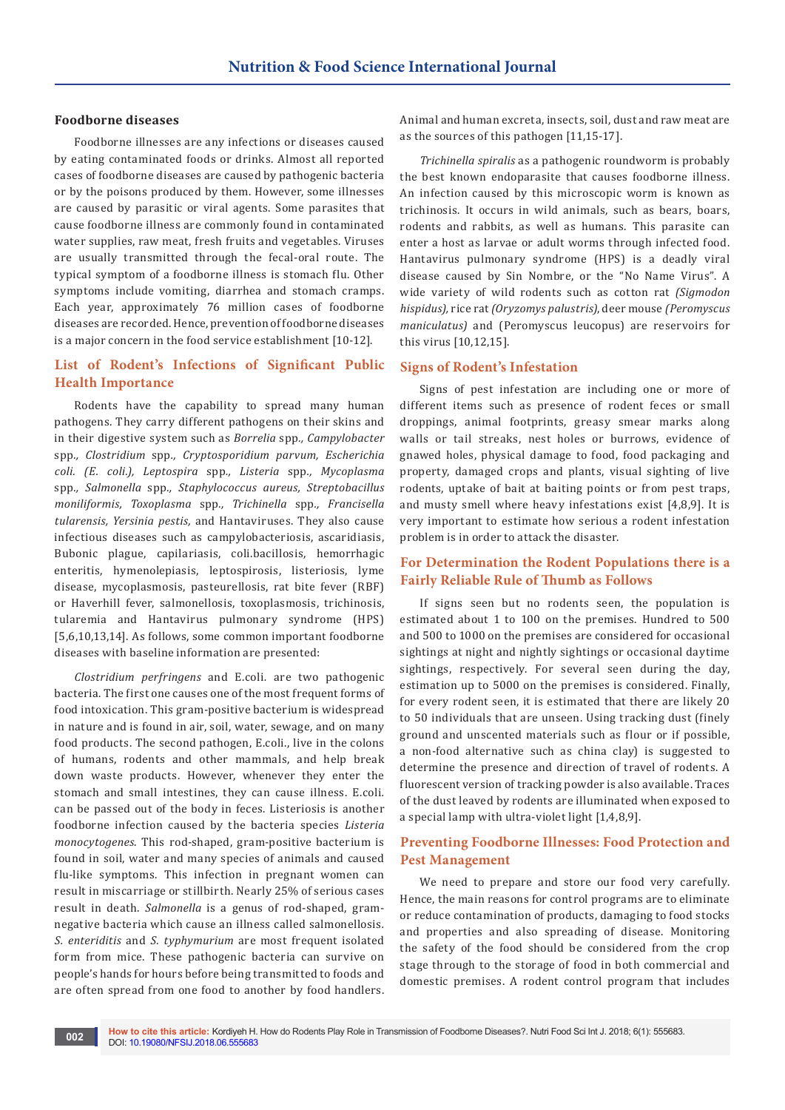#### **Foodborne diseases**

Foodborne illnesses are any infections or diseases caused by eating contaminated foods or drinks. Almost all reported cases of foodborne diseases are caused by pathogenic bacteria or by the poisons produced by them. However, some illnesses are caused by parasitic or viral agents. Some parasites that cause foodborne illness are commonly found in contaminated water supplies, raw meat, fresh fruits and vegetables. Viruses are usually transmitted through the fecal-oral route. The typical symptom of a foodborne illness is stomach flu. Other symptoms include vomiting, diarrhea and stomach cramps. Each year, approximately 76 million cases of foodborne diseases are recorded. Hence, prevention of foodborne diseases is a major concern in the food service establishment [10-12].

## **List of Rodent's Infections of Significant Public Health Importance**

Rodents have the capability to spread many human pathogens. They carry different pathogens on their skins and in their digestive system such as *Borrelia* spp*., Campylobacter* spp*., Clostridium* spp*., Cryptosporidium parvum, Escherichia coli. (E. coli.), Leptospira* spp*., Listeria* spp*., Mycoplasma* spp*., Salmonella* spp*., Staphylococcus aureus, Streptobacillus moniliformis, Toxoplasma* spp*., Trichinella* spp*., Francisella tularensis, Yersinia pestis,* and Hantaviruses. They also cause infectious diseases such as campylobacteriosis, ascaridiasis, Bubonic plague, capilariasis, coli.bacillosis, hemorrhagic enteritis, hymenolepiasis, leptospirosis, listeriosis, lyme disease, mycoplasmosis, pasteurellosis, rat bite fever (RBF) or Haverhill fever, salmonellosis, toxoplasmosis, trichinosis, tularemia and Hantavirus pulmonary syndrome (HPS) [5,6,10,13,14]. As follows, some common important foodborne diseases with baseline information are presented:

*Clostridium perfringens* and E.coli*.* are two pathogenic bacteria. The first one causes one of the most frequent forms of food intoxication. This gram-positive bacterium is widespread in nature and is found in air, soil, water, sewage, and on many food products. The second pathogen, E.coli., live in the colons of humans, rodents and other mammals, and help break down waste products. However, whenever they enter the stomach and small intestines, they can cause illness. E.coli*.*  can be passed out of the body in feces. Listeriosis is another foodborne infection caused by the bacteria species *Listeria monocytogenes*. This rod-shaped, gram-positive bacterium is found in soil, water and many species of animals and caused flu-like symptoms. This infection in pregnant women can result in miscarriage or stillbirth. Nearly 25% of serious cases result in death. *Salmonella* is a genus of rod-shaped, gramnegative bacteria which cause an illness called salmonellosis*. S. enteriditis* and *S. typhymurium* are most frequent isolated form from mice. These pathogenic bacteria can survive on people's hands for hours before being transmitted to foods and are often spread from one food to another by food handlers.

Animal and human excreta, insects, soil, dust and raw meat are as the sources of this pathogen [11,15-17].

*Trichinella spiralis* as a pathogenic roundworm is probably the best known endoparasite that causes foodborne illness. An infection caused by this microscopic worm is known as trichinosis. It occurs in wild animals, such as bears, boars, rodents and rabbits, as well as humans. This parasite can enter a host as larvae or adult worms through infected food. Hantavirus pulmonary syndrome (HPS) is a deadly viral disease caused by Sin Nombre, or the "No Name Virus". A wide variety of wild rodents such as cotton rat *(Sigmodon hispidus),* rice rat *(Oryzomys palustris)*, deer mouse *(Peromyscus maniculatus)* and (Peromyscus leucopus) are reservoirs for this virus [10,12,15].

### **Signs of Rodent's Infestation**

Signs of pest infestation are including one or more of different items such as presence of rodent feces or small droppings, animal footprints, greasy smear marks along walls or tail streaks, nest holes or burrows, evidence of gnawed holes, physical damage to food, food packaging and property, damaged crops and plants, visual sighting of live rodents, uptake of bait at baiting points or from pest traps, and musty smell where heavy infestations exist [4,8,9]. It is very important to estimate how serious a rodent infestation problem is in order to attack the disaster.

## **For Determination the Rodent Populations there is a Fairly Reliable Rule of Thumb as Follows**

If signs seen but no rodents seen, the population is estimated about 1 to 100 on the premises. Hundred to 500 and 500 to 1000 on the premises are considered for occasional sightings at night and nightly sightings or occasional daytime sightings, respectively. For several seen during the day, estimation up to 5000 on the premises is considered. Finally, for every rodent seen, it is estimated that there are likely 20 to 50 individuals that are unseen. Using tracking dust (finely ground and unscented materials such as flour or if possible, a non-food alternative such as china clay) is suggested to determine the presence and direction of travel of rodents. A fluorescent version of tracking powder is also available. Traces of the dust leaved by rodents are illuminated when exposed to a special lamp with ultra-violet light [1,4,8,9].

## **Preventing Foodborne Illnesses: Food Protection and Pest Management**

We need to prepare and store our food very carefully. Hence, the main reasons for control programs are to eliminate or reduce contamination of products, damaging to food stocks and properties and also spreading of disease. Monitoring the safety of the food should be considered from the crop stage through to the storage of food in both commercial and domestic premises. A rodent control program that includes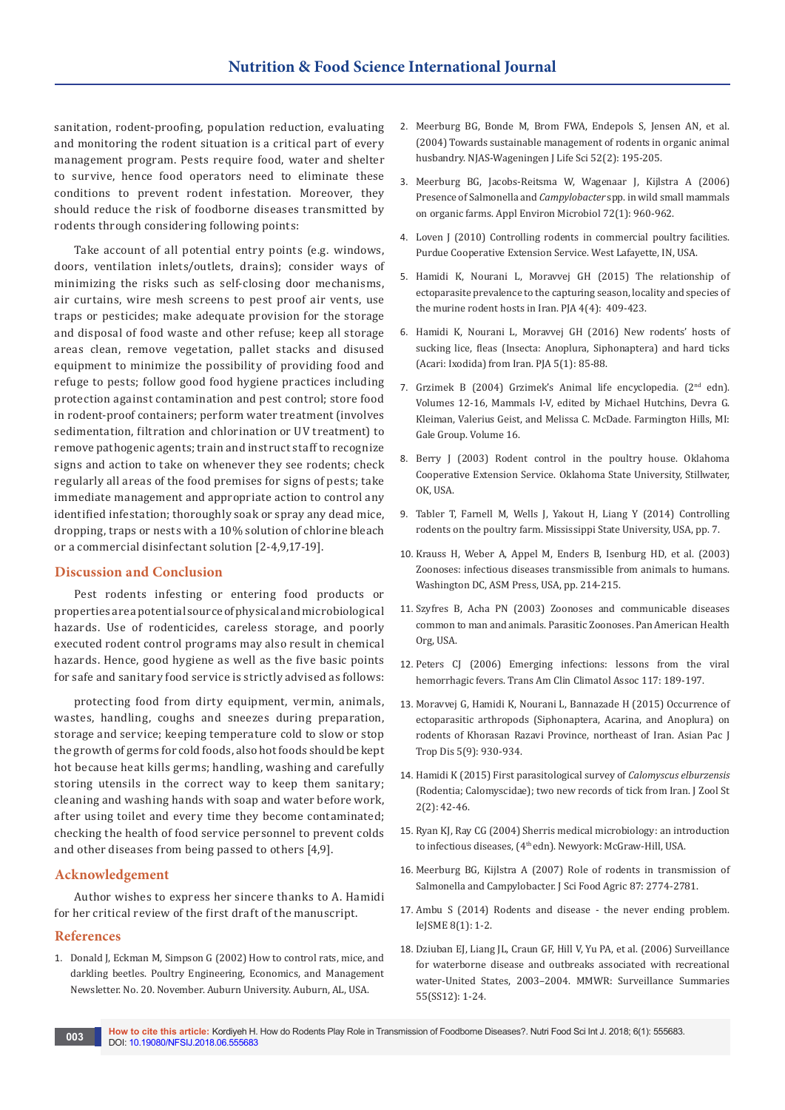sanitation, rodent-proofing, population reduction, evaluating and monitoring the rodent situation is a critical part of every management program. Pests require food, water and shelter to survive, hence food operators need to eliminate these conditions to prevent rodent infestation. Moreover, they should reduce the risk of foodborne diseases transmitted by rodents through considering following points:

Take account of all potential entry points (e.g. windows, doors, ventilation inlets/outlets, drains); consider ways of minimizing the risks such as self-closing door mechanisms, air curtains, wire mesh screens to pest proof air vents, use traps or pesticides; make adequate provision for the storage and disposal of food waste and other refuse; keep all storage areas clean, remove vegetation, pallet stacks and disused equipment to minimize the possibility of providing food and refuge to pests; follow good food hygiene practices including protection against contamination and pest control; store food in rodent-proof containers; perform water treatment (involves sedimentation, filtration and chlorination or UV treatment) to remove pathogenic agents; train and instruct staff to recognize signs and action to take on whenever they see rodents; check regularly all areas of the food premises for signs of pests; take immediate management and appropriate action to control any identified infestation; thoroughly soak or spray any dead mice, dropping, traps or nests with a 10% solution of chlorine bleach or a commercial disinfectant solution [2-4,9,17-19].

### **Discussion and Conclusion**

Pest rodents infesting or entering food products or properties are a potential source of physical and microbiological hazards. Use of rodenticides, careless storage, and poorly executed rodent control programs may also result in chemical hazards. Hence, good hygiene as well as the five basic points for safe and sanitary food service is strictly advised as follows:

protecting food from dirty equipment, vermin, animals, wastes, handling, coughs and sneezes during preparation, storage and service; keeping temperature cold to slow or stop the growth of germs for cold foods, also hot foods should be kept hot because heat kills germs; handling, washing and carefully storing utensils in the correct way to keep them sanitary; cleaning and washing hands with soap and water before work, after using toilet and every time they become contaminated; checking the health of food service personnel to prevent colds and other diseases from being passed to others [4,9].

## **Acknowledgement**

Author wishes to express her sincere thanks to A. Hamidi for her critical review of the first draft of the manuscript.

#### **References**

1. Donald J, Eckman M, Simpson G (2002) How to control rats, mice, and darkling beetles. Poultry Engineering, Economics, and Management Newsletter. No. 20. November. Auburn University. Auburn, AL, USA.

- 2. [Meerburg BG, Bonde M, Brom FWA, Endepols S, Jensen AN, et al.](https://www.sciencedirect.com/science/article/pii/S1573521404800149)  [\(2004\) Towards sustainable management of rodents in organic animal](https://www.sciencedirect.com/science/article/pii/S1573521404800149)  [husbandry. NJAS-Wageningen J Life Sci 52\(2\): 195-205.](https://www.sciencedirect.com/science/article/pii/S1573521404800149)
- 3. [Meerburg BG, Jacobs-Reitsma W, Wagenaar J, Kijlstra A \(2006\)](https://www.ncbi.nlm.nih.gov/pubmed/16391145)  Presence of Salmonella and *Campylobacter* [spp. in wild small mammals](https://www.ncbi.nlm.nih.gov/pubmed/16391145)  [on organic farms. Appl Environ Microbiol 72\(1\): 960-962.](https://www.ncbi.nlm.nih.gov/pubmed/16391145)
- 4. Loven J (2010) Controlling rodents in commercial poultry facilities. Purdue Cooperative Extension Service. West Lafayette, IN, USA.
- 5. [Hamidi K, Nourani L, Moravvej GH \(2015\) The relationship of](https://biotaxa.org/pja/article/view/13759)  [ectoparasite prevalence to the capturing season, locality and species of](https://biotaxa.org/pja/article/view/13759)  [the murine rodent hosts in Iran. PJA 4\(4\): 409-423.](https://biotaxa.org/pja/article/view/13759)
- 6. [Hamidi K, Nourani L, Moravvej GH \(2016\) New rodents' hosts of](https://www.biotaxa.org/pja/article/view/17102)  [sucking lice, fleas \(Insecta: Anoplura, Siphonaptera\) and hard ticks](https://www.biotaxa.org/pja/article/view/17102)  [\(Acari: Ixodida\) from Iran. PJA 5\(1\): 85-88.](https://www.biotaxa.org/pja/article/view/17102)
- 7. Grzimek B (2004) Grzimek's Animal life encyclopedia. (2nd edn). Volumes 12-16, Mammals I-V, edited by Michael Hutchins, Devra G. Kleiman, Valerius Geist, and Melissa C. McDade. Farmington Hills, MI: Gale Group. Volume 16.
- 8. Berry J (2003) Rodent control in the poultry house. Oklahoma Cooperative Extension Service. Oklahoma State University, Stillwater, OK, USA.
- 9. Tabler T, Farnell M, Wells J, Yakout H, Liang Y (2014) Controlling rodents on the poultry farm. Mississippi State University, USA, pp. 7.
- 10. Krauss H, Weber A, Appel M, Enders B, Isenburg HD, et al. (2003) Zoonoses: infectious diseases transmissible from animals to humans. Washington DC, ASM Press, USA, pp. 214-215.
- 11. Szyfres B, Acha PN (2003) Zoonoses and communicable diseases common to man and animals. Parasitic Zoonoses. Pan American Health Org, USA.
- 12. [Peters CJ \(2006\) Emerging infections: lessons from the viral](https://www.ncbi.nlm.nih.gov/pubmed/18528473/)  [hemorrhagic fevers. Trans Am Clin Climatol Assoc 117: 189-197.](https://www.ncbi.nlm.nih.gov/pubmed/18528473/)
- 13. Moravvej G, Hamidi K, Nourani L, Bannazade H (2015) Occurrence of ectoparasitic arthropods (Siphonaptera, Acarina, and Anoplura) on rodents of Khorasan Razavi Province, northeast of Iran. Asian Pac J Trop Dis 5(9): 930-934.
- 14. [Hamidi K \(2015\) First parasitological survey of](http://www.journalofzoology.com/volume2/v2i2/pdf/5.1.pdf) *Calomyscus elburzensis* [\(Rodentia; Calomyscidae\); two new records of tick from Iran. J Zool St](http://www.journalofzoology.com/volume2/v2i2/pdf/5.1.pdf)  [2\(2\): 42-46.](http://www.journalofzoology.com/volume2/v2i2/pdf/5.1.pdf)
- 15. Ryan KJ, Ray CG (2004) Sherris medical microbiology: an introduction to infectious diseases, (4<sup>th</sup> edn). Newyork: McGraw-Hill, USA.
- 16. [Meerburg BG, Kijlstra A \(2007\) Role of rodents in transmission of](http://orgprints.org/13055/1/roleofrodents.pdf)  [Salmonella and Campylobacter. J Sci Food Agric 87: 2774-2781.](http://orgprints.org/13055/1/roleofrodents.pdf)
- 17. Ambu S (2014) Rodents and disease the never ending problem. IeJSME 8(1): 1-2.
- 18. [Dziuban EJ, Liang JL, Craun GF, Hill V, Yu PA, et al. \(2006\) Surveillance](https://www.cdc.gov/MMWR/preview/MMWRhtml/ss5512a1.htm)  [for waterborne disease and outbreaks associated with recreational](https://www.cdc.gov/MMWR/preview/MMWRhtml/ss5512a1.htm)  [water-United States, 2003–2004. MMWR: Surveillance Summaries](https://www.cdc.gov/MMWR/preview/MMWRhtml/ss5512a1.htm)  [55\(SS12\): 1-24.](https://www.cdc.gov/MMWR/preview/MMWRhtml/ss5512a1.htm)